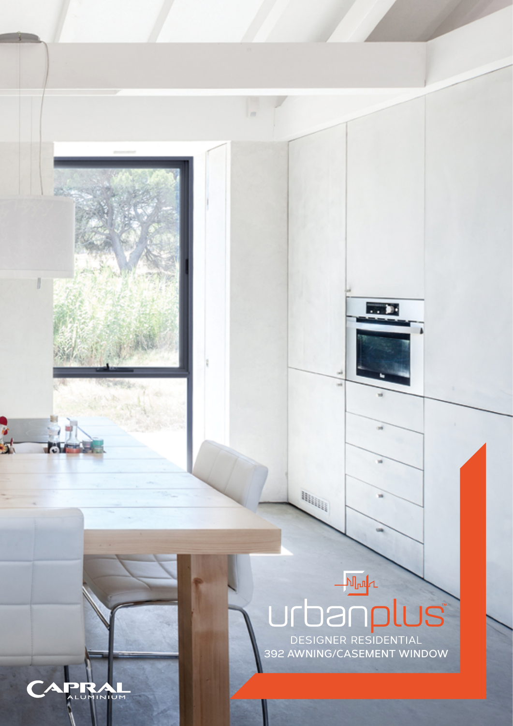